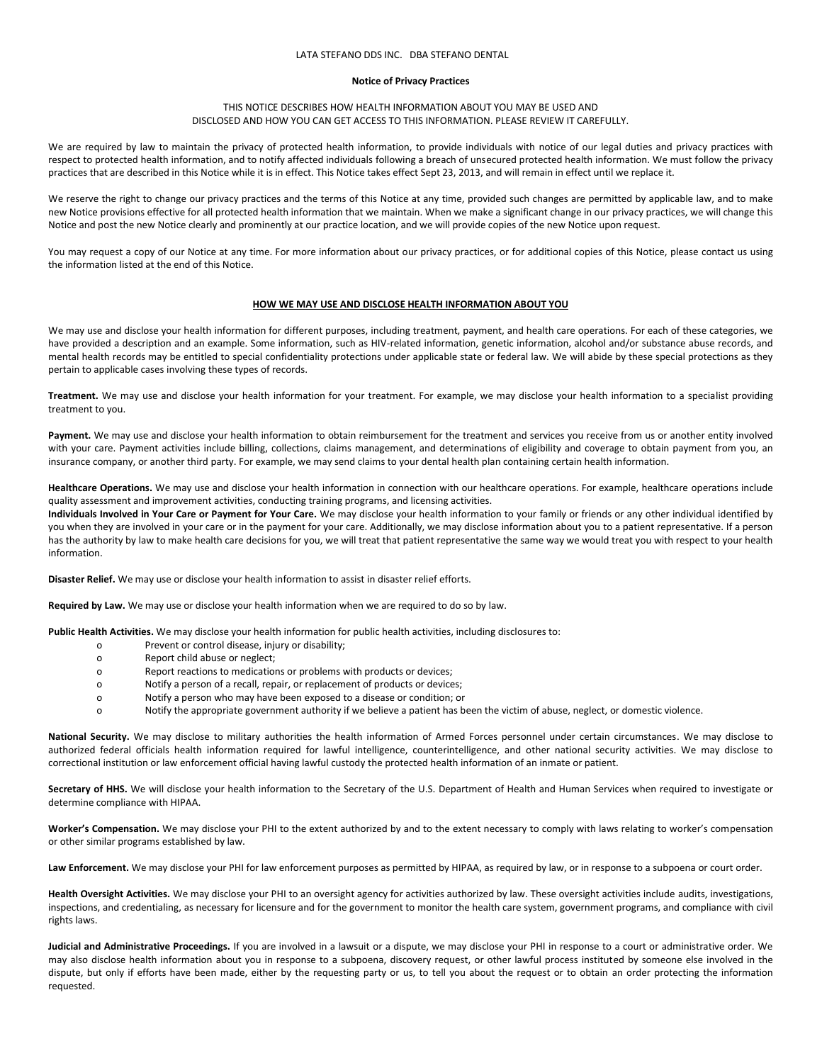# LATA STEFANO DDS INC. DBA STEFANO DENTAL

#### **Notice of Privacy Practices**

## THIS NOTICE DESCRIBES HOW HEALTH INFORMATION ABOUT YOU MAY BE USED AND DISCLOSED AND HOW YOU CAN GET ACCESS TO THIS INFORMATION. PLEASE REVIEW IT CAREFULLY.

We are required by law to maintain the privacy of protected health information, to provide individuals with notice of our legal duties and privacy practices with respect to protected health information, and to notify affected individuals following a breach of unsecured protected health information. We must follow the privacy practices that are described in this Notice while it is in effect. This Notice takes effect Sept 23, 2013, and will remain in effect until we replace it.

We reserve the right to change our privacy practices and the terms of this Notice at any time, provided such changes are permitted by applicable law, and to make new Notice provisions effective for all protected health information that we maintain. When we make a significant change in our privacy practices, we will change this Notice and post the new Notice clearly and prominently at our practice location, and we will provide copies of the new Notice upon request.

You may request a copy of our Notice at any time. For more information about our privacy practices, or for additional copies of this Notice, please contact us using the information listed at the end of this Notice.

## **HOW WE MAY USE AND DISCLOSE HEALTH INFORMATION ABOUT YOU**

We may use and disclose your health information for different purposes, including treatment, payment, and health care operations. For each of these categories, we have provided a description and an example. Some information, such as HIV-related information, genetic information, alcohol and/or substance abuse records, and mental health records may be entitled to special confidentiality protections under applicable state or federal law. We will abide by these special protections as they pertain to applicable cases involving these types of records.

**Treatment.** We may use and disclose your health information for your treatment. For example, we may disclose your health information to a specialist providing treatment to you.

Payment. We may use and disclose your health information to obtain reimbursement for the treatment and services you receive from us or another entity involved with your care. Payment activities include billing, collections, claims management, and determinations of eligibility and coverage to obtain payment from you, an insurance company, or another third party. For example, we may send claims to your dental health plan containing certain health information.

**Healthcare Operations.** We may use and disclose your health information in connection with our healthcare operations. For example, healthcare operations include quality assessment and improvement activities, conducting training programs, and licensing activities.

**Individuals Involved in Your Care or Payment for Your Care.** We may disclose your health information to your family or friends or any other individual identified by you when they are involved in your care or in the payment for your care. Additionally, we may disclose information about you to a patient representative. If a person has the authority by law to make health care decisions for you, we will treat that patient representative the same way we would treat you with respect to your health information.

**Disaster Relief.** We may use or disclose your health information to assist in disaster relief efforts.

**Required by Law.** We may use or disclose your health information when we are required to do so by law.

**Public Health Activities.** We may disclose your health information for public health activities, including disclosures to:

- o Prevent or control disease, injury or disability;
- o Report child abuse or neglect;
- o Report reactions to medications or problems with products or devices;
- Notify a person of a recall, repair, or replacement of products or devices;
- o Notify a person who may have been exposed to a disease or condition; or
- o Notify the appropriate government authority if we believe a patient has been the victim of abuse, neglect, or domestic violence.

**National Security.** We may disclose to military authorities the health information of Armed Forces personnel under certain circumstances. We may disclose to authorized federal officials health information required for lawful intelligence, counterintelligence, and other national security activities. We may disclose to correctional institution or law enforcement official having lawful custody the protected health information of an inmate or patient.

Secretary of HHS. We will disclose your health information to the Secretary of the U.S. Department of Health and Human Services when required to investigate or determine compliance with HIPAA.

**Worker's Compensation.** We may disclose your PHI to the extent authorized by and to the extent necessary to comply with laws relating to worker's compensation or other similar programs established by law.

Law Enforcement. We may disclose your PHI for law enforcement purposes as permitted by HIPAA, as required by law, or in response to a subpoena or court order.

**Health Oversight Activities.** We may disclose your PHI to an oversight agency for activities authorized by law. These oversight activities include audits, investigations, inspections, and credentialing, as necessary for licensure and for the government to monitor the health care system, government programs, and compliance with civil rights laws.

Judicial and Administrative Proceedings. If you are involved in a lawsuit or a dispute, we may disclose your PHI in response to a court or administrative order. We may also disclose health information about you in response to a subpoena, discovery request, or other lawful process instituted by someone else involved in the dispute, but only if efforts have been made, either by the requesting party or us, to tell you about the request or to obtain an order protecting the information requested.